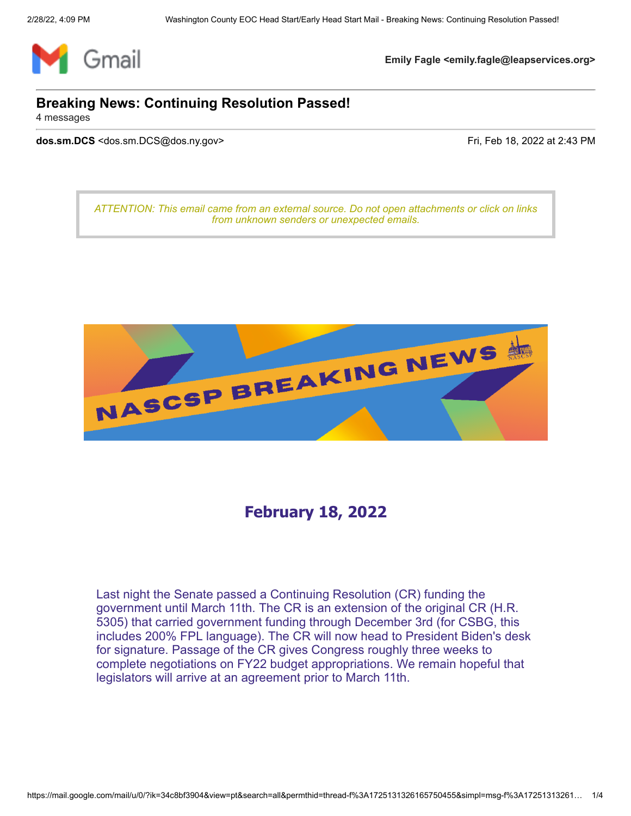

**Emily Fagle <emily.fagle@leapservices.org>**

## **Breaking News: Continuing Resolution Passed!**

4 messages

**dos.sm.DCS** <dos.sm.DCS@dos.ny.gov> Fri, Feb 18, 2022 at 2:43 PM

*ATTENTION: This email came from an external source. Do not open attachments or click on links from unknown senders or unexpected emails.*



# **February 18, 2022**

Last night the Senate passed a Continuing [Resolution \(CR\)](https://gcc02.safelinks.protection.outlook.com/?url=https%3A%2F%2Fr20.rs6.net%2Ftn.jsp%3Ff%3D001JR-aCtd-d6ssyNwbP3bINrQIcJ1viWhrdq6WyB5OZHMrk21JZxXAqRa1rO3gbIvzq9yWIC7SEyGx8dc_Tnj2e6Tgl3sq81m7wpkiFgqsBsk2z6nLbRD6cYy46o-GUGe4Aadkh84zy5camzXy-RYJH_mXEBAShQU0EW3dk5xGMXs58nEOsND7PhrR6YvK8B2UbtGHKCwVpYY7Tpn5mX1i74-xCExdUOaQJjKQDHa7aDbFDyu3d8v-fxJGMs_Xq6WW7TK-7lD5zo9eSrkRHSprY61j6EU7gKBZlzkoF81VYdN8hf6E4KoqOc4qTBsEtI7YrzG3FBCrPLWAHLBGP2jMeoHVFiVSApcroYg57EcMvhqvKYJc_puB00xk6ecueE_5xRerIAkYIQo8m7C_Q9rsCZny2tVJ7TuV_Q3LX7jmxtAzT4cGd7ARSslIUhDTgjb_%26c%3DvSpwjYZf7jN-a21mYg1z76Q2kwpSWsyKpbeN_BNozraPzoDskB1ebQ%3D%3D%26ch%3DYYzxHlEPzkAtvT_w1RG77MvUvaycpmf1TB9s_DyePk28rlrc94Ynag%3D%3D&data=04%7C01%7CAyanna.Hamby%40dos.ny.gov%7Cd807854ac1184c2a7a2708d9f315e205%7Cf46cb8ea79004d108ceb80e8c1c81ee7%7C0%7C0%7C637808097569428395%7CUnknown%7CTWFpbGZsb3d8eyJWIjoiMC4wLjAwMDAiLCJQIjoiV2luMzIiLCJBTiI6Ik1haWwiLCJXVCI6Mn0%3D%7C3000&sdata=9U1o%2BimdxDrF2%2B5pFJGIb8r0MLhFGEPOmn5xDgPbTmw%3D&reserved=0) funding the [government until March 11th. The CR is an extension of the original CR \(H.R.](https://gcc02.safelinks.protection.outlook.com/?url=https%3A%2F%2Fr20.rs6.net%2Ftn.jsp%3Ff%3D001JR-aCtd-d6ssyNwbP3bINrQIcJ1viWhrdq6WyB5OZHMrk21JZxXAqRa1rO3gbIvzmO2yTFxWI7LMRa47-Uk0ckgnJ4F9yQ9xdwfSKnaO2ucjbTTWCnI9jG-O7P-WsADEDUVQpX8dwiGCu4SNUp8E8AYoiJyBZTz9mKoR07fBgl4zL60e9O5WprHDZ5RKOmQs5R1GqdLTWLeX5Xc8OOp4lfIDeEkOqqMO%26c%3DvSpwjYZf7jN-a21mYg1z76Q2kwpSWsyKpbeN_BNozraPzoDskB1ebQ%3D%3D%26ch%3DYYzxHlEPzkAtvT_w1RG77MvUvaycpmf1TB9s_DyePk28rlrc94Ynag%3D%3D&data=04%7C01%7CAyanna.Hamby%40dos.ny.gov%7Cd807854ac1184c2a7a2708d9f315e205%7Cf46cb8ea79004d108ceb80e8c1c81ee7%7C0%7C0%7C637808097569428395%7CUnknown%7CTWFpbGZsb3d8eyJWIjoiMC4wLjAwMDAiLCJQIjoiV2luMzIiLCJBTiI6Ik1haWwiLCJXVCI6Mn0%3D%7C3000&sdata=Vf7HJFxrJFlnR8HY8w3RAKpWXrEfYDsvYN6W185nUTM%3D&reserved=0) 5305) that carried government funding through December 3rd (for CSBG, this includes 200% FPL language). The CR will now head to President Biden's desk for signature. Passage of the CR gives Congress roughly three weeks to complete negotiations on FY22 budget appropriations. We remain hopeful that legislators will arrive at an agreement prior to March 11th.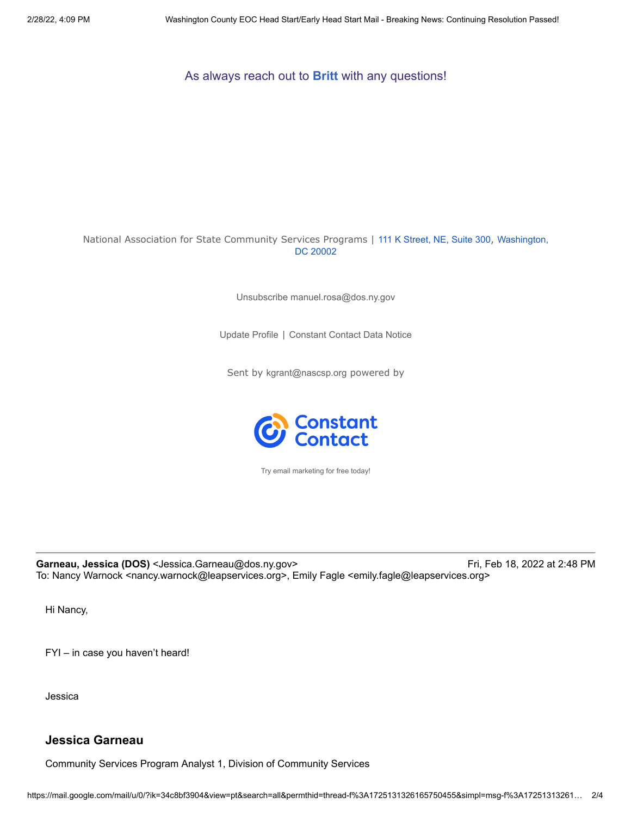As always reach out to **[Britt](mailto:bpomush@nascsp.org)** with any questions!

#### National Association for State Community Services Programs | [111 K Street, NE, Suite 300](https://www.google.com/maps/search/111+K+Street,+NE,+Suite+300+,%0D%0A+Washington,+DC+20002?entry=gmail&source=g), Washington, DC 20002

Unsubscribe [manuel.rosa@dos.ny.gov](https://gcc02.safelinks.protection.outlook.com/?url=https%3A%2F%2Fvisitor.constantcontact.com%2Fdo%3Fp%3Dun%26m%3D001uQ9kIwljvzrKxf6GT2iQ_A%253D%26ch%3Db5298790-644c-11e8-bc17-d4ae528e486a%26ca%3Dcfb09f04-3a89-4bb2-8b8e-c7ddabc97d38&data=04%7C01%7CAyanna.Hamby%40dos.ny.gov%7Cd807854ac1184c2a7a2708d9f315e205%7Cf46cb8ea79004d108ceb80e8c1c81ee7%7C0%7C0%7C637808097569428395%7CUnknown%7CTWFpbGZsb3d8eyJWIjoiMC4wLjAwMDAiLCJQIjoiV2luMzIiLCJBTiI6Ik1haWwiLCJXVCI6Mn0%3D%7C3000&sdata=1ER1iXDDOnKx7k4bJ%2BFn4NYOtrk8NL5%2BNyQbGiqUPQE%3D&reserved=0)

[Update](https://gcc02.safelinks.protection.outlook.com/?url=https%3A%2F%2Fvisitor.constantcontact.com%2Fdo%3Fp%3Doo%26m%3D001uQ9kIwljvzrKxf6GT2iQ_A%253D%26ch%3Db5298790-644c-11e8-bc17-d4ae528e486a%26ca%3Dcfb09f04-3a89-4bb2-8b8e-c7ddabc97d38&data=04%7C01%7CAyanna.Hamby%40dos.ny.gov%7Cd807854ac1184c2a7a2708d9f315e205%7Cf46cb8ea79004d108ceb80e8c1c81ee7%7C0%7C0%7C637808097569428395%7CUnknown%7CTWFpbGZsb3d8eyJWIjoiMC4wLjAwMDAiLCJQIjoiV2luMzIiLCJBTiI6Ik1haWwiLCJXVCI6Mn0%3D%7C3000&sdata=zi3uQSnaoQ7e7gsA%2Foxqpe5cNa2c8ViZnyBpP3qGEcM%3D&reserved=0) Profile | [Constant Contact Data Notice](https://gcc02.safelinks.protection.outlook.com/?url=https%3A%2F%2Fwww.constantcontact.com%2Flegal%2Fcustomer-contact-data-notice&data=04%7C01%7CAyanna.Hamby%40dos.ny.gov%7Cd807854ac1184c2a7a2708d9f315e205%7Cf46cb8ea79004d108ceb80e8c1c81ee7%7C0%7C0%7C637808097569428395%7CUnknown%7CTWFpbGZsb3d8eyJWIjoiMC4wLjAwMDAiLCJQIjoiV2luMzIiLCJBTiI6Ik1haWwiLCJXVCI6Mn0%3D%7C3000&sdata=%2Fo5zw7zg9VNEWZGVnaZNqFASmIKMH0dI3Qf9mxXt8VM%3D&reserved=0)

Sent by [kgrant@nascsp.org](mailto:kgrant@nascsp.org) powered by



Try email [marketing](https://gcc02.safelinks.protection.outlook.com/?url=http%3A%2F%2Fwww.constantcontact.com%2Findex.jsp%3Fcc%3Dnge%26rmc%3DVF21_3GE%26pn%3DROVING%26nav%3Dcfb09f04-3a89-4bb2-8b8e-c7ddabc97d38&data=04%7C01%7CAyanna.Hamby%40dos.ny.gov%7Cd807854ac1184c2a7a2708d9f315e205%7Cf46cb8ea79004d108ceb80e8c1c81ee7%7C0%7C0%7C637808097569428395%7CUnknown%7CTWFpbGZsb3d8eyJWIjoiMC4wLjAwMDAiLCJQIjoiV2luMzIiLCJBTiI6Ik1haWwiLCJXVCI6Mn0%3D%7C3000&sdata=ZMN0hFHMjIQhhB1ZEu9LHOus18Fk6J1bxtnZHKRE%2Bsc%3D&reserved=0) for free today!

Garneau, Jessica (DOS) <Jessica.Garneau@dos.ny.gov> Fri, Feb 18, 2022 at 2:48 PM To: Nancy Warnock <nancy.warnock@leapservices.org>, Emily Fagle <emily.fagle@leapservices.org>

Hi Nancy,

FYI – in case you haven't heard!

Jessica

## **Jessica Garneau**

Community Services Program Analyst 1, Division of Community Services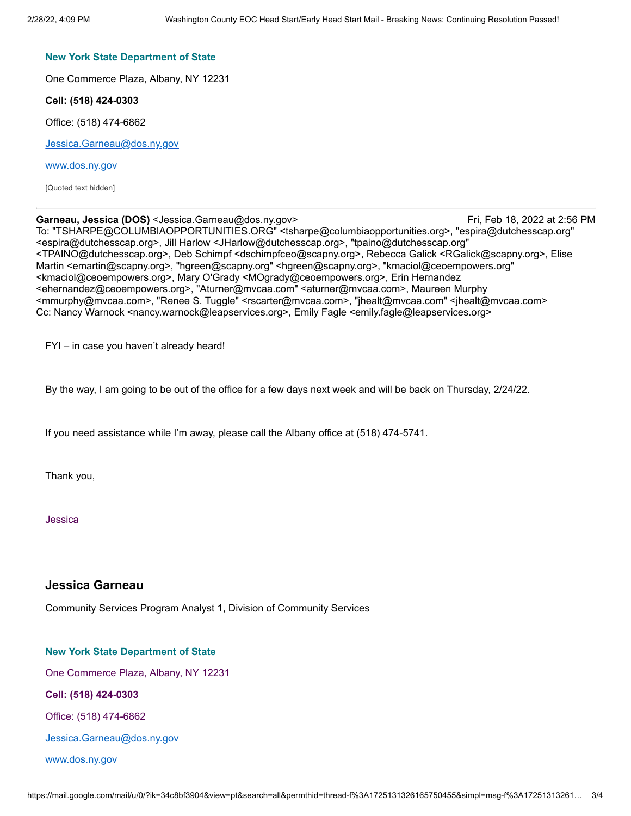#### **New York State Department of State**

One Commerce Plaza, Albany, NY 12231

**Cell: (518) 424-0303**

Office: (518) 474-6862

[Jessica.Garneau@dos.ny.gov](mailto:Jessica.Garneau@dos.ny.gov)

#### [www.dos.ny.gov](http://www.dos.ny.gov/)

[Quoted text hidden]

#### Garneau, Jessica (DOS) <Jessica.Garneau@dos.ny.gov> Fri, Feb 18, 2022 at 2:56 PM

To: "TSHARPE@COLUMBIAOPPORTUNITIES.ORG" <tsharpe@columbiaopportunities.org>, "espira@dutchesscap.org" <espira@dutchesscap.org>, Jill Harlow <JHarlow@dutchesscap.org>, "tpaino@dutchesscap.org" <TPAINO@dutchesscap.org>, Deb Schimpf <dschimpfceo@scapny.org>, Rebecca Galick <RGalick@scapny.org>, Elise Martin <emartin@scapny.org>, "hgreen@scapny.org" <hgreen@scapny.org>, "kmaciol@ceoempowers.org" <kmaciol@ceoempowers.org>, Mary O'Grady <MOgrady@ceoempowers.org>, Erin Hernandez <ehernandez@ceoempowers.org>, "Aturner@mvcaa.com" <aturner@mvcaa.com>, Maureen Murphy <mmurphy@mvcaa.com>, "Renee S. Tuggle" <rscarter@mvcaa.com>, "jhealt@mvcaa.com" <jhealt@mvcaa.com> Cc: Nancy Warnock <nancy.warnock@leapservices.org>, Emily Fagle <emily.fagle@leapservices.org>

FYI – in case you haven't already heard!

By the way, I am going to be out of the office for a few days next week and will be back on Thursday, 2/24/22.

If you need assistance while I'm away, please call the Albany office at (518) 474-5741.

Thank you,

Jessica

### **Jessica Garneau**

Community Services Program Analyst 1, Division of Community Services

#### **New York State Department of State**

One Commerce Plaza, Albany, NY 12231

**Cell: (518) 424-0303**

Office: (518) 474-6862

[Jessica.Garneau@dos.ny.gov](mailto:Jessica.Garneau@dos.ny.gov)

#### [www.dos.ny.gov](http://www.dos.ny.gov/)